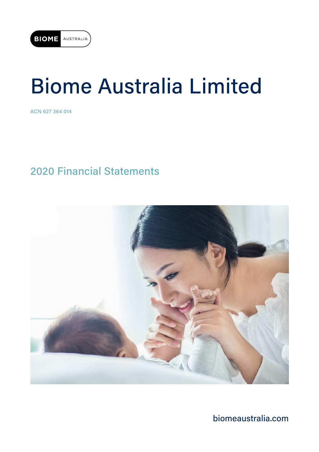ACN 627 364 014

# 2020 Financial Statements



biomeaustralia.com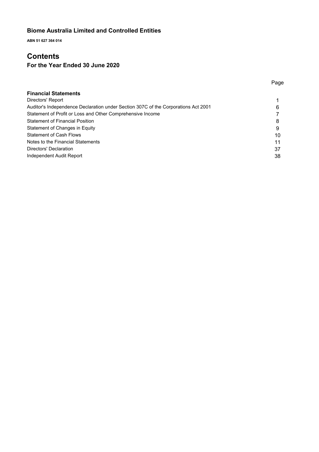**ABN 51 627 364 014**

# **Contents**

# **For the Year Ended 30 June 2020**

|                                                                                    | Page |
|------------------------------------------------------------------------------------|------|
| <b>Financial Statements</b>                                                        |      |
| Directors' Report                                                                  |      |
| Auditor's Independence Declaration under Section 307C of the Corporations Act 2001 | 6    |
| Statement of Profit or Loss and Other Comprehensive Income                         |      |
| <b>Statement of Financial Position</b>                                             | 8    |
| Statement of Changes in Equity                                                     | 9    |
| <b>Statement of Cash Flows</b>                                                     | 10   |
| Notes to the Financial Statements                                                  | 11   |
| Directors' Declaration                                                             | 37   |
| Independent Audit Report                                                           | 38   |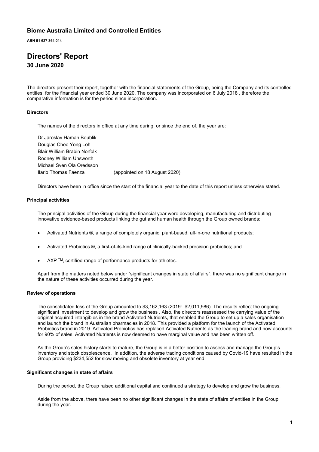**ABN 51 627 364 014**

# **Directors' Report 30 June 2020**

The directors present their report, together with the financial statements of the Group, being the Company and its controlled entities, for the financial year ended 30 June 2020. The company was incorporated on 6 July 2018 , therefore the comparative information is for the period since incorporation.

### **Directors**

The names of the directors in office at any time during, or since the end of, the year are:

Dr Jaroslav Haman Boublik Douglas Chee Yong Loh Blair William Brabin Norfolk Rodney William Unsworth Michael Sven Ola Oredsson Ilario Thomas Faenza (appointed on 18 August 2020)

Directors have been in office since the start of the financial year to the date of this report unless otherwise stated.

#### **Principal activities**

The principal activities of the Group during the financial year were developing, manufacturing and distributing innovative evidence-based products linking the gut and human health through the Group owned brands:

- Activated Nutrients ®, a range of completely organic, plant-based, all-in-one nutritional products;
- Activated Probiotics ®, a first-of-its-kind range of clinically-backed precision probiotics; and
- AXP ™, certified range of performance products for athletes.

Apart from the matters noted below under "significant changes in state of affairs", there was no significant change in the nature of these activities occurred during the year.

#### **Review of operations**

The consolidated loss of the Group amounted to \$3,162,163 (2019: \$2,011,986). The results reflect the ongoing significant investment to develop and grow the business . Also, the directors reassessed the carrying value of the original acquired intangibles in the brand Activated Nutrients, that enabled the Group to set up a sales organisation and launch the brand in Australian pharmacies in 2018. This provided a platform for the launch of the Activated Probiotics brand in 2019. Activated Probiotics has replaced Activated Nutrients as the leading brand and now accounts for 90% of sales. Activated Nutrients is now deemed to have marginal value and has been written off.

As the Group's sales history starts to mature, the Group is in a better position to assess and manage the Group's inventory and stock obsolescence. In addition, the adverse trading conditions caused by Covid-19 have resulted in the Group providing \$234,552 for slow moving and obsolete inventory at year end.

#### **Significant changes in state of affairs**

During the period, the Group raised additional capital and continued a strategy to develop and grow the business.

Aside from the above, there have been no other significant changes in the state of affairs of entities in the Group during the year.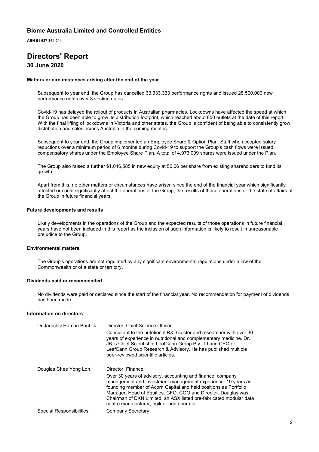**ABN 51 627 364 014**

# **Directors' Report**

# **30 June 2020**

#### **Matters or circumstances arising after the end of the year**

Subsequent to year end, the Group has cancelled 33,333,333 performance rights and issued 28,500,000 new performance rights over 3 vesting dates.

Covid-19 has delayed the rollout of products in Australian pharmacies. Lockdowns have affected the speed at which the Group has been able to grow its distribution footprint, which reached about 850 outlets at the date of this report. With the final lifting of lockdowns in Victoria and other states, the Group is confident of being able to consistently grow distribution and sales across Australia in the coming months.

Subsequent to year end, the Group implemented an Employee Share & Option Plan. Staff who accepted salary reductions over a minimum period of 6 months during Covid-19 to support the Group's cash flows were issued compensatory shares under the Employee Share Plan. A total of 4,973,009 shares were issued under the Plan.

The Group also raised a further \$1,016,585 in new equity at \$0.06 per share from existing shareholders to fund its growth.

Apart from this, no other matters or circumstances have arisen since the end of the financial year which significantly affected or could significantly affect the operations of the Group, the results of those operations or the state of affairs of the Group in future financial years.

### **Future developments and results**

Likely developments in the operations of the Group and the expected results of those operations in future financial years have not been included in this report as the inclusion of such information is likely to result in unreasonable prejudice to the Group.

#### **Environmental matters**

The Group's operations are not regulated by any significant environmental regulations under a law of the Commonwealth or of a state or territory.

#### **Dividends paid or recommended**

No dividends were paid or declared since the start of the financial year. No recommendation for payment of dividends has been made.

#### **Information on directors**

| Dr Jaroslav Haman Boublik       | Director, Chief Science Officer                                                                                                                                                                                                                                                                                                                                                     |
|---------------------------------|-------------------------------------------------------------------------------------------------------------------------------------------------------------------------------------------------------------------------------------------------------------------------------------------------------------------------------------------------------------------------------------|
|                                 | Consultant to the nutritional R&D sector and researcher with over 30<br>years of experience in nutritional and complementary medicine. Dr.<br>JB is Chief Scientist of LeafCann Group Pty Ltd and CEO of<br>LeafCann Group Research & Advisory. He has published multiple<br>peer-reviewed scientific articles.                                                                     |
| Douglas Chee Yong Loh           | Director, Finance                                                                                                                                                                                                                                                                                                                                                                   |
|                                 | Over 30 years of advisory, accounting and finance, company<br>management and investment management experience. 19 years as<br>founding member of Acorn Capital and held positions as Portfolio<br>Manager, Head of Equities, CFO, COO and Director. Douglas was<br>Chairman of DXN Limited, an ASX listed pre-fabricated modular data<br>centre manufacturer, builder and operator. |
| <b>Special Responsibilities</b> | <b>Company Secretary</b>                                                                                                                                                                                                                                                                                                                                                            |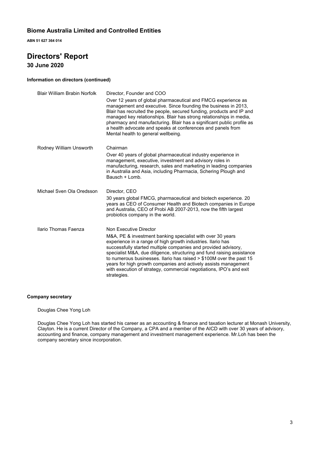**ABN 51 627 364 014**

# **Directors' Report**

# **30 June 2020**

#### **Information on directors (continued)**

| <b>Blair William Brabin Norfolk</b> | Director, Founder and COO<br>Over 12 years of global pharmaceutical and FMCG experience as<br>management and executive. Since founding the business in 2013,<br>Blair has recruited the people, secured funding, products and IP and<br>managed key relationships. Blair has strong relationships in media,<br>pharmacy and manufacturing. Blair has a significant public profile as<br>a health advocate and speaks at conferences and panels from<br>Mental health to general wellbeing.                                       |
|-------------------------------------|----------------------------------------------------------------------------------------------------------------------------------------------------------------------------------------------------------------------------------------------------------------------------------------------------------------------------------------------------------------------------------------------------------------------------------------------------------------------------------------------------------------------------------|
| Rodney William Unsworth             | Chairman<br>Over 40 years of global pharmaceutical industry experience in<br>management, executive, investment and advisory roles in<br>manufacturing, research, sales and marketing in leading companies<br>in Australia and Asia, including Pharmacia, Schering Plough and<br>Bausch + Lomb.                                                                                                                                                                                                                                   |
| Michael Sven Ola Oredsson           | Director, CEO<br>30 years global FMCG, pharmaceutical and biotech experience. 20<br>years as CEO of Consumer Health and Biotech companies in Europe<br>and Australia, CEO of Probi AB 2007-2013, now the fifth largest<br>probiotics company in the world.                                                                                                                                                                                                                                                                       |
| Ilario Thomas Faenza                | Non Executive Director<br>M&A, PE & investment banking specialist with over 30 years<br>experience in a range of high growth industries. Ilario has<br>successfully started multiple companies and provided advisory,<br>specialist M&A, due diligence, structuring and fund raising assistance<br>to numerous businesses. Ilario has raised $> $100M$ over the past 15<br>years for high growth companies and actively assists management<br>with execution of strategy, commercial negotiations, IPO's and exit<br>strategies. |

# **Company secretary**

Douglas Chee Yong Loh

Douglas Chee Yong Loh has started his career as an accounting & finance and taxation lecturer at Monash University, Clayton. He is a current Director of the Company, a CPA and a member of the AICD with over 30 years of advisory, accounting and finance, company management and investment management experience. Mr.Loh has been the company secretary since incorporation.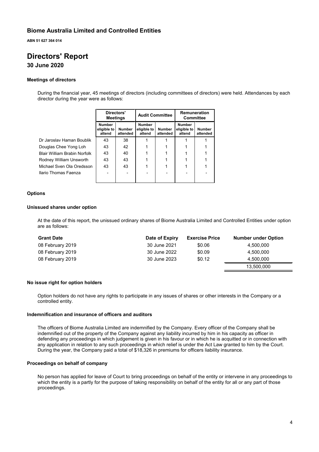**ABN 51 627 364 014**

# **Directors' Report**

# **30 June 2020**

#### **Meetings of directors**

During the financial year, 45 meetings of directors (including committees of directors) were held. Attendances by each director during the year were as follows:

|                              | Directors'<br><b>Meetings</b>          |                           | <b>Audit Committee</b>                 |                           | <b>Remuneration</b><br><b>Committee</b> |                           |
|------------------------------|----------------------------------------|---------------------------|----------------------------------------|---------------------------|-----------------------------------------|---------------------------|
|                              | <b>Number</b><br>eligible to<br>attend | <b>Number</b><br>attended | <b>Number</b><br>eligible to<br>attend | <b>Number</b><br>attended | <b>Number</b><br>eligible to<br>attend  | <b>Number</b><br>attended |
| Dr Jaroslav Haman Boublik    | 43                                     | 38                        |                                        |                           |                                         |                           |
| Douglas Chee Yong Loh        | 43                                     | 42                        |                                        |                           |                                         |                           |
| Blair William Brabin Norfolk | 43                                     | 40                        |                                        |                           |                                         |                           |
| Rodney William Unsworth      | 43                                     | 43                        |                                        |                           |                                         |                           |
| Michael Sven Ola Oredsson    | 43                                     | 43                        |                                        |                           |                                         |                           |
| Ilario Thomas Faenza         |                                        |                           |                                        |                           |                                         |                           |

**Options**

#### **Unissued shares under option**

At the date of this report, the unissued ordinary shares of Biome Australia Limited and Controlled Entities under option are as follows:

| <b>Grant Date</b> | Date of Expiry | <b>Exercise Price</b> | <b>Number under Option</b> |
|-------------------|----------------|-----------------------|----------------------------|
| 08 February 2019  | 30 June 2021   | \$0.06                | 4.500.000                  |
| 08 February 2019  | 30 June 2022   | \$0.09                | 4.500.000                  |
| 08 February 2019  | 30 June 2023   | \$0.12                | 4.500.000                  |
|                   |                |                       | 13.500.000                 |

#### **No issue right for option holders**

Option holders do not have any rights to participate in any issues of shares or other interests in the Company or a controlled entity.

#### **Indemnification and insurance of officers and auditors**

The officers of Biome Australia Limited are indemnified by the Company. Every officer of the Company shall be indemnified out of the property of the Company against any liability incurred by him in his capacity as officer in defending any proceedings in which judgement is given in his favour or in which he is acquitted or in connection with any application in relation to any such proceedings in which relief is under the Act Law granted to him by the Court. During the year, the Company paid a total of \$18,326 in premiums for officers liability insurance.

### **Proceedings on behalf of company**

No person has applied for leave of Court to bring proceedings on behalf of the entity or intervene in any proceedings to which the entity is a partly for the purpose of taking responsibility on behalf of the entity for all or any part of those proceedings.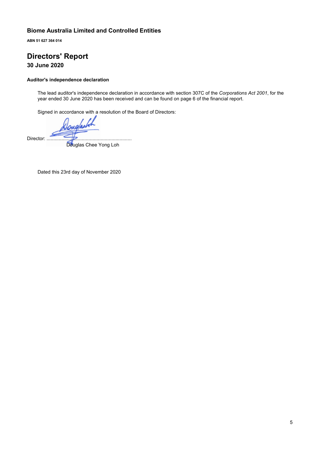**ABN 51 627 364 014**

# **Directors' Report**

# **30 June 2020**

### **Auditor's independence declaration**

The lead auditor's independence declaration in accordance with section 307C of the *Corporations Act 2001*, for the year ended 30 June 2020 has been received and can be found on page 6 of the financial report.

Signed in accordance with a resolution of the Board of Directors:

Director: ...............................................................

Douglas Chee Yong Loh

Dated this 23rd day of November 2020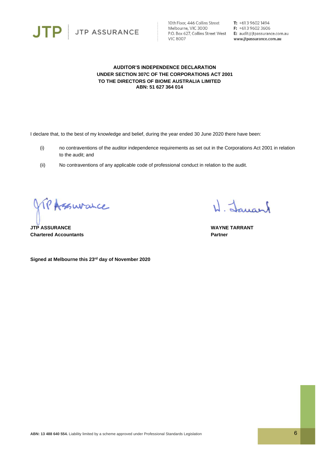

10th Floor, 446 Collins Street<br>
Melbourne, VIC 3000<br>
F: +61 3 9602 3606 P.O. Box 627, Collins Street West E: audit@jtpassurance.com.au **VIC 8007** 

www.jtpassurance.com.au

# **AUDITOR'S INDEPENDENCE DECLARATION UNDER SECTION 307C OF THE CORPORATIONS ACT 2001 TO THE DIRECTORS OF BIOME AUSTRALIA LIMITED ABN: 51 627 364 014**

I declare that, to the best of my knowledge and belief, during the year ended 30 June 2020 there have been:

- (i) no contraventions of the auditor independence requirements as set out in the Corporations Act 2001 in relation to the audit; and
- (ii) No contraventions of any applicable code of professional conduct in relation to the audit.

IP Assurance

**JTP ASSURANCE WAYNE TARRANT Chartered Accountants Partner** 

W. Jauant

**Signed at Melbourne this 23 rd day of November 2020**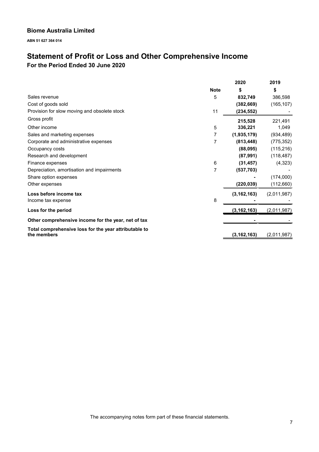**ABN 51 627 364 014**

# **Statement of Profit or Loss and Other Comprehensive Income For the Period Ended 30 June 2020**

|                                                                      |             | 2020          | 2019        |
|----------------------------------------------------------------------|-------------|---------------|-------------|
|                                                                      | <b>Note</b> | \$            | \$          |
| Sales revenue                                                        | 5           | 832,749       | 386,598     |
| Cost of goods sold                                                   |             | (382, 669)    | (165, 107)  |
| Provision for slow moving and obsolete stock                         | 11          | (234, 552)    |             |
| Gross profit                                                         |             | 215,528       | 221,491     |
| Other income                                                         | 5           | 336,221       | 1,049       |
| Sales and marketing expenses                                         |             | (1,935,179)   | (934, 489)  |
| Corporate and administrative expenses                                |             | (813, 448)    | (775, 352)  |
| Occupancy costs                                                      |             | (88,095)      | (115, 216)  |
| Research and development                                             |             | (87, 991)     | (118, 487)  |
| Finance expenses                                                     | 6           | (31, 457)     | (4,323)     |
| Depreciation, amortisation and impairments                           | 7           | (537, 703)    |             |
| Share option expenses                                                |             |               | (174,000)   |
| Other expenses                                                       |             | (220, 039)    | (112, 660)  |
| Loss before income tax                                               |             | (3, 162, 163) | (2,011,987) |
| Income tax expense                                                   | 8           |               |             |
| Loss for the period                                                  |             | (3, 162, 163) | (2,011,987) |
| Other comprehensive income for the year, net of tax                  |             |               |             |
| Total comprehensive loss for the year attributable to<br>the members |             | (3, 162, 163) | (2,011,987) |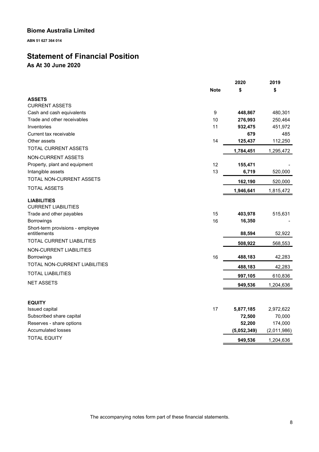**ABN 51 627 364 014**

# **Statement of Financial Position**

**As At 30 June 2020**

| \$<br><b>Note</b><br>\$<br>9<br>448,867<br>480,301<br>10<br>276,993<br>250,464<br>11<br>932,475<br>451,972<br>679<br>485<br>125,437<br>112,250<br>14<br>1,784,451<br>1,295,472<br>12<br>155,471<br>13<br>6,719<br>520,000<br>162,190<br>520,000<br>1,946,641<br>1,815,472<br><b>LIABILITIES</b><br>Trade and other payables<br>15<br>403,978<br>515,631<br>16,350<br>16<br>88,594<br>52,922<br>508,922<br>568,553<br>16<br>488,183<br>42,283<br>488,183<br>42,283<br>997,105<br>610,836<br>1,204,636<br>949,536<br>Issued capital<br>17<br>5,877,185<br>2,972,622<br>Subscribed share capital<br>72,500<br>70,000<br>Reserves - share options<br>52,200<br>174,000<br><b>Accumulated losses</b><br>(5,052,349)<br>(2,011,986)<br>TOTAL EQUITY<br>949,536<br>1,204,636 |                                                  | 2020 | 2019 |
|-----------------------------------------------------------------------------------------------------------------------------------------------------------------------------------------------------------------------------------------------------------------------------------------------------------------------------------------------------------------------------------------------------------------------------------------------------------------------------------------------------------------------------------------------------------------------------------------------------------------------------------------------------------------------------------------------------------------------------------------------------------------------|--------------------------------------------------|------|------|
|                                                                                                                                                                                                                                                                                                                                                                                                                                                                                                                                                                                                                                                                                                                                                                       |                                                  |      |      |
|                                                                                                                                                                                                                                                                                                                                                                                                                                                                                                                                                                                                                                                                                                                                                                       | <b>ASSETS</b>                                    |      |      |
|                                                                                                                                                                                                                                                                                                                                                                                                                                                                                                                                                                                                                                                                                                                                                                       | <b>CURRENT ASSETS</b>                            |      |      |
|                                                                                                                                                                                                                                                                                                                                                                                                                                                                                                                                                                                                                                                                                                                                                                       | Cash and cash equivalents                        |      |      |
|                                                                                                                                                                                                                                                                                                                                                                                                                                                                                                                                                                                                                                                                                                                                                                       | Trade and other receivables                      |      |      |
|                                                                                                                                                                                                                                                                                                                                                                                                                                                                                                                                                                                                                                                                                                                                                                       | Inventories                                      |      |      |
|                                                                                                                                                                                                                                                                                                                                                                                                                                                                                                                                                                                                                                                                                                                                                                       | Current tax receivable                           |      |      |
|                                                                                                                                                                                                                                                                                                                                                                                                                                                                                                                                                                                                                                                                                                                                                                       | Other assets                                     |      |      |
|                                                                                                                                                                                                                                                                                                                                                                                                                                                                                                                                                                                                                                                                                                                                                                       | TOTAL CURRENT ASSETS                             |      |      |
|                                                                                                                                                                                                                                                                                                                                                                                                                                                                                                                                                                                                                                                                                                                                                                       | NON-CURRENT ASSETS                               |      |      |
|                                                                                                                                                                                                                                                                                                                                                                                                                                                                                                                                                                                                                                                                                                                                                                       | Property, plant and equipment                    |      |      |
|                                                                                                                                                                                                                                                                                                                                                                                                                                                                                                                                                                                                                                                                                                                                                                       | Intangible assets                                |      |      |
|                                                                                                                                                                                                                                                                                                                                                                                                                                                                                                                                                                                                                                                                                                                                                                       | TOTAL NON-CURRENT ASSETS                         |      |      |
|                                                                                                                                                                                                                                                                                                                                                                                                                                                                                                                                                                                                                                                                                                                                                                       | TOTAL ASSETS                                     |      |      |
|                                                                                                                                                                                                                                                                                                                                                                                                                                                                                                                                                                                                                                                                                                                                                                       |                                                  |      |      |
|                                                                                                                                                                                                                                                                                                                                                                                                                                                                                                                                                                                                                                                                                                                                                                       | <b>CURRENT LIABILITIES</b>                       |      |      |
|                                                                                                                                                                                                                                                                                                                                                                                                                                                                                                                                                                                                                                                                                                                                                                       |                                                  |      |      |
|                                                                                                                                                                                                                                                                                                                                                                                                                                                                                                                                                                                                                                                                                                                                                                       | Borrowings                                       |      |      |
|                                                                                                                                                                                                                                                                                                                                                                                                                                                                                                                                                                                                                                                                                                                                                                       | Short-term provisions - employee<br>entitlements |      |      |
|                                                                                                                                                                                                                                                                                                                                                                                                                                                                                                                                                                                                                                                                                                                                                                       | TOTAL CURRENT LIABILITIES                        |      |      |
|                                                                                                                                                                                                                                                                                                                                                                                                                                                                                                                                                                                                                                                                                                                                                                       | NON-CURRENT LIABILITIES                          |      |      |
|                                                                                                                                                                                                                                                                                                                                                                                                                                                                                                                                                                                                                                                                                                                                                                       | Borrowings                                       |      |      |
|                                                                                                                                                                                                                                                                                                                                                                                                                                                                                                                                                                                                                                                                                                                                                                       | TOTAL NON-CURRENT LIABILITIES                    |      |      |
|                                                                                                                                                                                                                                                                                                                                                                                                                                                                                                                                                                                                                                                                                                                                                                       | <b>TOTAL LIABILITIES</b>                         |      |      |
|                                                                                                                                                                                                                                                                                                                                                                                                                                                                                                                                                                                                                                                                                                                                                                       | <b>NET ASSETS</b>                                |      |      |
|                                                                                                                                                                                                                                                                                                                                                                                                                                                                                                                                                                                                                                                                                                                                                                       |                                                  |      |      |
|                                                                                                                                                                                                                                                                                                                                                                                                                                                                                                                                                                                                                                                                                                                                                                       | <b>EQUITY</b>                                    |      |      |
|                                                                                                                                                                                                                                                                                                                                                                                                                                                                                                                                                                                                                                                                                                                                                                       |                                                  |      |      |
|                                                                                                                                                                                                                                                                                                                                                                                                                                                                                                                                                                                                                                                                                                                                                                       |                                                  |      |      |
|                                                                                                                                                                                                                                                                                                                                                                                                                                                                                                                                                                                                                                                                                                                                                                       |                                                  |      |      |
|                                                                                                                                                                                                                                                                                                                                                                                                                                                                                                                                                                                                                                                                                                                                                                       |                                                  |      |      |
|                                                                                                                                                                                                                                                                                                                                                                                                                                                                                                                                                                                                                                                                                                                                                                       |                                                  |      |      |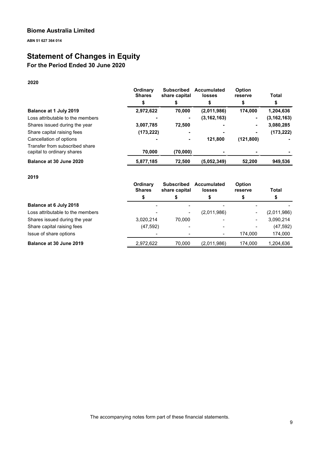**ABN 51 627 364 014**

# **Statement of Changes in Equity**

**For the Period Ended 30 June 2020**

**2020**

|                                                              | Ordinary<br><b>Shares</b> | <b>Subscribed</b><br>share capital | <b>Accumulated</b><br><b>losses</b> | <b>Option</b><br>reserve | <b>Total</b>  |
|--------------------------------------------------------------|---------------------------|------------------------------------|-------------------------------------|--------------------------|---------------|
|                                                              | \$                        |                                    |                                     | \$                       | \$            |
| Balance at 1 July 2019                                       | 2,972,622                 | 70,000                             | (2,011,986)                         | 174,000                  | 1,204,636     |
| Loss attributable to the members                             |                           |                                    | (3, 162, 163)                       | $\blacksquare$           | (3, 162, 163) |
| Shares issued during the year                                | 3,007,785                 | 72,500                             |                                     | $\blacksquare$           | 3,080,285     |
| Share capital raising fees                                   | (173, 222)                | -                                  |                                     | ٠                        | (173, 222)    |
| Cancellation of options                                      |                           |                                    | 121,800                             | (121, 800)               |               |
| Transfer from subscribed share<br>capital to ordinary shares | 70,000                    | (70,000)                           |                                     |                          |               |
| Balance at 30 June 2020                                      | 5,877,185                 | 72.500                             | (5.052,349)                         | 52.200                   | 949.536       |

**2019**

|                                  | Ordinary<br><b>Shares</b> | <b>Subscribed</b><br>share capital | <b>Accumulated</b><br><b>losses</b> | <b>Option</b><br>reserve | Total       |
|----------------------------------|---------------------------|------------------------------------|-------------------------------------|--------------------------|-------------|
|                                  |                           |                                    |                                     |                          |             |
| Balance at 6 July 2018           |                           |                                    |                                     |                          |             |
| Loss attributable to the members |                           | $\blacksquare$                     | (2,011,986)                         | $\blacksquare$           | (2,011,986) |
| Shares issued during the year    | 3,020,214                 | 70.000                             |                                     | $\blacksquare$           | 3,090,214   |
| Share capital raising fees       | (47, 592)                 |                                    |                                     |                          | (47, 592)   |
| Issue of share options           |                           |                                    |                                     | 174.000                  | 174,000     |
| Balance at 30 June 2019          | 2,972,622                 | 70,000                             | (2,011,986)                         | 174,000                  | 1,204,636   |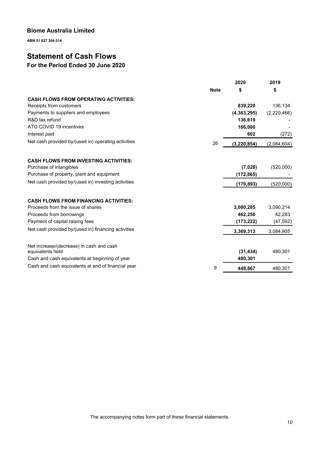**ABN 51 627 364 014**

# **Statement of Cash Flows**

# **For the Period Ended 30 June 2020**

|                                                              |             | 2020          | 2019        |
|--------------------------------------------------------------|-------------|---------------|-------------|
|                                                              | <b>Note</b> | \$            | \$          |
| <b>CASH FLOWS FROM OPERATING ACTIVITIES:</b>                 |             |               |             |
| Receipts from customers                                      |             | 839,220       | 136,134     |
| Payments to suppliers and employees                          |             | (4,363,295)   | (2,220,466) |
| R&D tax refund                                               |             | 136,619       |             |
| ATO COVID 19 incentives                                      |             | 166,000       |             |
| Interest paid                                                |             | 602           | (272)       |
| Net cash provided by/(used in) operating activities          | 26          | (3, 220, 854) | (2,084,604) |
| <b>CASH FLOWS FROM INVESTING ACTIVITIES:</b>                 |             |               |             |
| Purchase of intangibles                                      |             | (7,028)       | (520,000)   |
| Purchase of property, plant and equipment                    |             | (172, 865)    |             |
| Net cash provided by/(used in) investing activities          |             | (179, 893)    | (520,000)   |
| <b>CASH FLOWS FROM FINANCING ACTIVITIES:</b>                 |             |               |             |
| Proceeds from the issue of shares                            |             | 3,080,285     | 3,090,214   |
| Proceeds from borrowings                                     |             | 462,250       | 42,283      |
| Payment of capital raising fees                              |             | (173, 222)    | (47, 592)   |
| Net cash provided by/(used in) financing activities          |             | 3,369,313     | 3,084,905   |
| Net increase/(decrease) in cash and cash<br>equivalents held |             | (31, 434)     | 480,301     |
| Cash and cash equivalents at beginning of year               |             | 480,301       |             |
| Cash and cash equivalents at end of financial year           | 9           | 448,867       | 480,301     |
|                                                              |             |               |             |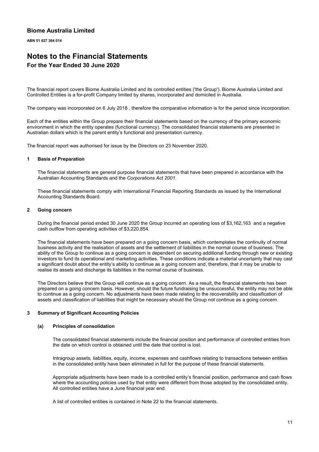**ABN 51 627 364 014**

# **Notes to the Financial Statements For the Year Ended 30 June 2020**

The financial report covers Biome Australia Limited and its controlled entities ('the Group'). Biome Australia Limited and Controlled Entities is a for-profit Company limited by shares, incorporated and domiciled in Australia.

The company was incorporated on 6 July 2018 , therefore the comparative information is for the period since incorporation.

Each of the entities within the Group prepare their financial statements based on the currency of the primary economic environment in which the entity operates (functional currency). The consolidated financial statements are presented in Australian dollars which is the parent entity's functional and presentation currency.

The financial report was authorised for issue by the Directors on 23 November 2020.

#### **1 Basis of Preparation**

The financial statements are general purpose financial statements that have been prepared in accordance with the Australian Accounting Standards and the *Corporations Act 2001.*

These financial statements comply with International Financial Reporting Standards as issued by the International Accounting Standards Board.

### **2 Going concern**

During the financial period ended 30 June 2020 the Group incurred an operating loss of \$3,162,163 and a negative cash outflow from operating activities of \$3,220,854.

The financial statements have been prepared on a going concern basis, which contemplates the continuity of normal business activity and the realisation of assets and the settlement of liabilities in the normal course of business. The ability of the Group to continue as a going concern is dependent on securing additional funding through new or existing investors to fund its operational and marketing activities. These conditions indicate a material uncertainty that may cast a significant doubt about the entity's ability to continue as a going concern and, therefore, that it may be unable to realise its assets and discharge its liabilities in the normal course of business.

The Directors believe that the Group will continue as a going concern. As a result, the financial statements has been prepared on a going concern basis. However, should the future fundraising be unsuccessful, the entity may not be able to continue as a going concern. No adjustments have been made relating to the recoverability and classification of assets and classification of liabilities that might be necessary should the Group not continue as a going concern.

# **3 Summary of Significant Accounting Policies**

#### **(a) Principles of consolidation**

The consolidated financial statements include the financial position and performance of controlled entities from the date on which control is obtained until the date that control is lost.

Intragroup assets, liabilities, equity, income, expenses and cashflows relating to transactions between entities in the consolidated entity have been eliminated in full for the purpose of these financial statements.

Appropriate adjustments have been made to a controlled entity's financial position, performance and cash flows where the accounting policies used by that entity were different from those adopted by the consolidated entity. All controlled entities have a June financial year end.

A list of controlled entities is contained in Note 22 to the financial statements.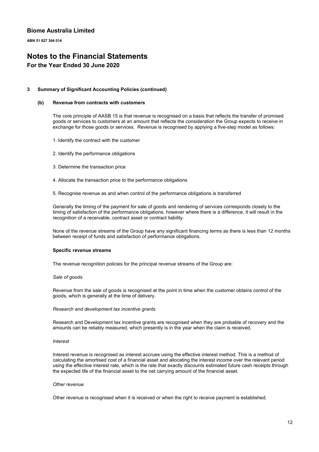**ABN 51 627 364 014**

# **Notes to the Financial Statements**

# **For the Year Ended 30 June 2020**

# **3 Summary of Significant Accounting Policies (continued)**

### **(b) Revenue from contracts with customers**

The core principle of AASB 15 is that revenue is recognised on a basis that reflects the transfer of promised goods or services to customers at an amount that reflects the consideration the Group expects to receive in exchange for those goods or services. Revenue is recognised by applying a five-step model as follows:

- 1. Identify the contract with the customer
- 2. Identify the performance obligations
- 3. Determine the transaction price
- 4. Allocate the transaction price to the performance obligations
- 5. Recognise revenue as and when control of the performance obligations is transferred

Generally the timing of the payment for sale of goods and rendering of services corresponds closely to the timing of satisfaction of the performance obligations, however where there is a difference, it will result in the recognition of a receivable, contract asset or contract liability.

None of the revenue streams of the Group have any significant financing terms as there is less than 12 months between receipt of funds and satisfaction of performance obligations.

### **Specific revenue streams**

The revenue recognition policies for the principal revenue streams of the Group are:

#### *Sale of goods*

Revenue from the sale of goods is recognised at the point in time when the customer obtains control of the goods, which is generally at the time of delivery.

#### *Research and development tax incentive grants*

Research and Development tax incentive grants are recognised when they are probable of recovery and the amounts can be reliably measured, which presently is in the year when the claim is received.

### *Interest*

Interest revenue is recognised as interest accrues using the effective interest method. This is a method of calculating the amortised cost of a financial asset and allocating the interest income over the relevant period using the effective interest rate, which is the rate that exactly discounts estimated future cash receipts through the expected life of the financial asset to the net carrying amount of the financial asset.

#### *Other revenue*

Other revenue is recognised when it is received or when the right to receive payment is established.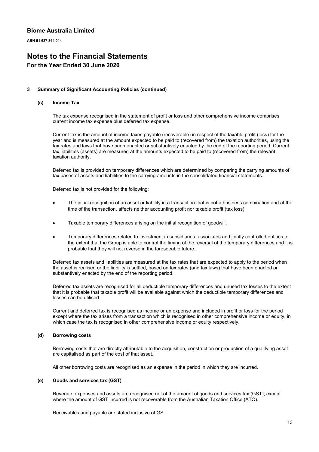**ABN 51 627 364 014**

# **Notes to the Financial Statements**

# **For the Year Ended 30 June 2020**

# **3 Summary of Significant Accounting Policies (continued)**

### **(c) Income Tax**

The tax expense recognised in the statement of profit or loss and other comprehensive income comprises current income tax expense plus deferred tax expense.

Current tax is the amount of income taxes payable (recoverable) in respect of the taxable profit (loss) for the year and is measured at the amount expected to be paid to (recovered from) the taxation authorities, using the tax rates and laws that have been enacted or substantively enacted by the end of the reporting period. Current tax liabilities (assets) are measured at the amounts expected to be paid to (recovered from) the relevant taxation authority.

Deferred tax is provided on temporary differences which are determined by comparing the carrying amounts of tax bases of assets and liabilities to the carrying amounts in the consolidated financial statements.

Deferred tax is not provided for the following:

- The initial recognition of an asset or liability in a transaction that is not a business combination and at the time of the transaction, affects neither accounting profit nor taxable profit (tax loss).
- Taxable temporary differences arising on the initial recognition of goodwill.
- Temporary differences related to investment in subsidiaries, associates and jointly controlled entities to the extent that the Group is able to control the timing of the reversal of the temporary differences and it is probable that they will not reverse in the foreseeable future.

Deferred tax assets and liabilities are measured at the tax rates that are expected to apply to the period when the asset is realised or the liability is settled, based on tax rates (and tax laws) that have been enacted or substantively enacted by the end of the reporting period.

Deferred tax assets are recognised for all deductible temporary differences and unused tax losses to the extent that it is probable that taxable profit will be available against which the deductible temporary differences and losses can be utilised.

Current and deferred tax is recognised as income or an expense and included in profit or loss for the period except where the tax arises from a transaction which is recognised in other comprehensive income or equity, in which case the tax is recognised in other comprehensive income or equity respectively.

### **(d) Borrowing costs**

Borrowing costs that are directly attributable to the acquisition, construction or production of a qualifying asset are capitalised as part of the cost of that asset.

All other borrowing costs are recognised as an expense in the period in which they are incurred.

### **(e) Goods and services tax (GST)**

Revenue, expenses and assets are recognised net of the amount of goods and services tax (GST), except where the amount of GST incurred is not recoverable from the Australian Taxation Office (ATO).

Receivables and payable are stated inclusive of GST.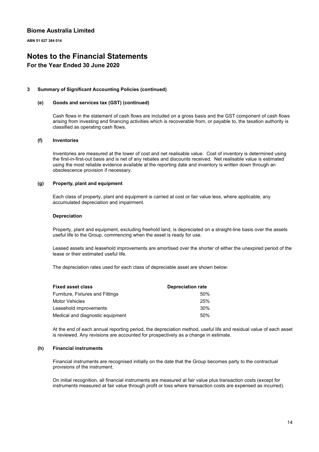**ABN 51 627 364 014**

# **Notes to the Financial Statements**

# **For the Year Ended 30 June 2020**

# **3 Summary of Significant Accounting Policies (continued)**

# **(e) Goods and services tax (GST) (continued)**

Cash flows in the statement of cash flows are included on a gross basis and the GST component of cash flows arising from investing and financing activities which is recoverable from, or payable to, the taxation authority is classified as operating cash flows.

### **(f) Inventories**

Inventories are measured at the lower of cost and net realisable value. Cost of inventory is determined using the first-in-first-out basis and is net of any rebates and discounts received. Net realisable value is estimated using the most reliable evidence available at the reporting date and inventory is written down through an obsolescence provision if necessary.

#### **(g) Property, plant and equipment**

Each class of property, plant and equipment is carried at cost or fair value less, where applicable, any accumulated depreciation and impairment.

#### **Depreciation**

Property, plant and equipment, excluding freehold land, is depreciated on a straight-line basis over the assets useful life to the Group, commencing when the asset is ready for use.

Leased assets and leasehold improvements are amortised over the shorter of either the unexpired period of the lease or their estimated useful life.

The depreciation rates used for each class of depreciable asset are shown below:

| <b>Fixed asset class</b>         | <b>Depreciation rate</b> |
|----------------------------------|--------------------------|
| Furniture, Fixtures and Fittings | .50%                     |
| <b>Motor Vehicles</b>            | 25%                      |
| Leasehold improvements           | 30%                      |
| Medical and diagnostic equipment | 50%                      |

At the end of each annual reporting period, the depreciation method, useful life and residual value of each asset is reviewed. Any revisions are accounted for prospectively as a change in estimate.

#### **(h) Financial instruments**

Financial instruments are recognised initially on the date that the Group becomes party to the contractual provisions of the instrument.

On initial recognition, all financial instruments are measured at fair value plus transaction costs (except for instruments measured at fair value through profit or loss where transaction costs are expensed as incurred).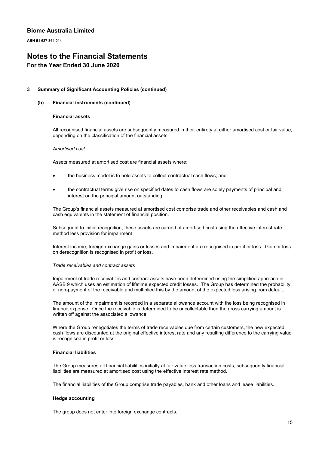**ABN 51 627 364 014**

# **Notes to the Financial Statements**

# **For the Year Ended 30 June 2020**

# **3 Summary of Significant Accounting Policies (continued)**

#### **(h) Financial instruments (continued)**

#### **Financial assets**

All recognised financial assets are subsequently measured in their entirety at either amortised cost or fair value, depending on the classification of the financial assets.

#### *Amortised cost*

Assets measured at amortised cost are financial assets where:

- the business model is to hold assets to collect contractual cash flows; and
- the contractual terms give rise on specified dates to cash flows are solely payments of principal and interest on the principal amount outstanding.

The Group's financial assets measured at amortised cost comprise trade and other receivables and cash and cash equivalents in the statement of financial position.

Subsequent to initial recognition, these assets are carried at amortised cost using the effective interest rate method less provision for impairment.

Interest income, foreign exchange gains or losses and impairment are recognised in profit or loss. Gain or loss on derecognition is recognised in profit or loss.

#### *Trade receivables and contract assets*

Impairment of trade receivables and contract assets have been determined using the simplified approach in AASB 9 which uses an estimation of lifetime expected credit losses. The Group has determined the probability of non-payment of the receivable and multiplied this by the amount of the expected loss arising from default.

The amount of the impairment is recorded in a separate allowance account with the loss being recognised in finance expense. Once the receivable is determined to be uncollectable then the gross carrying amount is written off against the associated allowance.

Where the Group renegotiates the terms of trade receivables due from certain customers, the new expected cash flows are discounted at the original effective interest rate and any resulting difference to the carrying value is recognised in profit or loss.

### **Financial liabilities**

The Group measures all financial liabilities initially at fair value less transaction costs, subsequently financial liabilities are measured at amortised cost using the effective interest rate method.

The financial liabilities of the Group comprise trade payables, bank and other loans and lease liabilities.

### **Hedge accounting**

The group does not enter into foreign exchange contracts.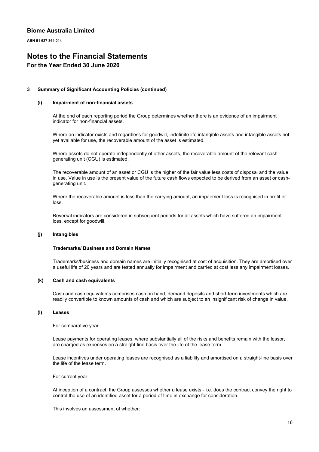**ABN 51 627 364 014**

# **Notes to the Financial Statements**

# **For the Year Ended 30 June 2020**

# **3 Summary of Significant Accounting Policies (continued)**

### **(i) Impairment of non-financial assets**

At the end of each reporting period the Group determines whether there is an evidence of an impairment indicator for non-financial assets.

Where an indicator exists and regardless for goodwill, indefinite life intangible assets and intangible assets not yet available for use, the recoverable amount of the asset is estimated.

Where assets do not operate independently of other assets, the recoverable amount of the relevant cashgenerating unit (CGU) is estimated.

The recoverable amount of an asset or CGU is the higher of the fair value less costs of disposal and the value in use. Value in use is the present value of the future cash flows expected to be derived from an asset or cashgenerating unit.

Where the recoverable amount is less than the carrying amount, an impairment loss is recognised in profit or loss.

Reversal indicators are considered in subsequent periods for all assets which have suffered an impairment loss, except for goodwill.

### **(j) Intangibles**

#### **Trademarks/ Business and Domain Names**

Trademarks/business and domain names are initially recognised at cost of acquisition. They are amortised over a useful life of 20 years and are tested annually for impairment and carried at cost less any impairment losses.

#### **(k) Cash and cash equivalents**

Cash and cash equivalents comprises cash on hand, demand deposits and short-term investments which are readily convertible to known amounts of cash and which are subject to an insignificant risk of change in value.

#### **(l) Leases**

For comparative year

Lease payments for operating leases, where substantially all of the risks and benefits remain with the lessor, are charged as expenses on a straight-line basis over the life of the lease term.

Lease incentives under operating leases are recognised as a liability and amortised on a straight-line basis over the life of the lease term.

For current year

At inception of a contract, the Group assesses whether a lease exists - i.e. does the contract convey the right to control the use of an identified asset for a period of time in exchange for consideration.

This involves an assessment of whether: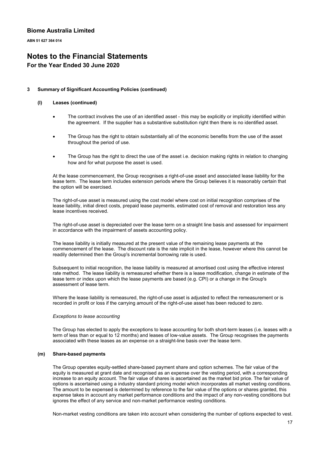**ABN 51 627 364 014**

# **Notes to the Financial Statements**

# **For the Year Ended 30 June 2020**

# **3 Summary of Significant Accounting Policies (continued)**

### **(l) Leases (continued)**

- The contract involves the use of an identified asset this may be explicitly or implicitly identified within the agreement. If the supplier has a substantive substitution right then there is no identified asset.
- The Group has the right to obtain substantially all of the economic benefits from the use of the asset throughout the period of use.
- The Group has the right to direct the use of the asset i.e. decision making rights in relation to changing how and for what purpose the asset is used.

At the lease commencement, the Group recognises a right-of-use asset and associated lease liability for the lease term. The lease term includes extension periods where the Group believes it is reasonably certain that the option will be exercised.

The right-of-use asset is measured using the cost model where cost on initial recognition comprises of the lease liability, initial direct costs, prepaid lease payments, estimated cost of removal and restoration less any lease incentives received.

The right-of-use asset is depreciated over the lease term on a straight line basis and assessed for impairment in accordance with the impairment of assets accounting policy.

The lease liability is initially measured at the present value of the remaining lease payments at the commencement of the lease. The discount rate is the rate implicit in the lease, however where this cannot be readily determined then the Group's incremental borrowing rate is used.

Subsequent to initial recognition, the lease liability is measured at amortised cost using the effective interest rate method. The lease liability is remeasured whether there is a lease modification, change in estimate of the lease term or index upon which the lease payments are based (e.g. CPI) or a change in the Group's assessment of lease term.

Where the lease liability is remeasured, the right-of-use asset is adjusted to reflect the remeasurement or is recorded in profit or loss if the carrying amount of the right-of-use asset has been reduced to zero.

#### *Exceptions to lease accounting*

The Group has elected to apply the exceptions to lease accounting for both short-term leases (i.e. leases with a term of less than or equal to 12 months) and leases of low-value assets. The Group recognises the payments associated with these leases as an expense on a straight-line basis over the lease term.

### **(m) Share-based payments**

The Group operates equity-settled share-based payment share and option schemes. The fair value of the equity is measured at grant date and recognised as an expense over the vesting period, with a corresponding increase to an equity account. The fair value of shares is ascertained as the market bid price. The fair value of options is ascertained using a industry standard pricing model which incorporates all market vesting conditions. The amount to be expensed is determined by reference to the fair value of the options or shares granted, this expense takes in account any market performance conditions and the impact of any non-vesting conditions but ignores the effect of any service and non-market performance vesting conditions.

Non-market vesting conditions are taken into account when considering the number of options expected to vest.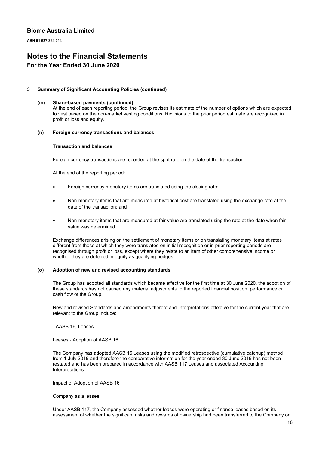**ABN 51 627 364 014**

# **Notes to the Financial Statements**

# **For the Year Ended 30 June 2020**

# **3 Summary of Significant Accounting Policies (continued)**

#### **(m) Share-based payments (continued)**

At the end of each reporting period, the Group revises its estimate of the number of options which are expected to vest based on the non-market vesting conditions. Revisions to the prior period estimate are recognised in profit or loss and equity.

# **(n) Foreign currency transactions and balances**

#### **Transaction and balances**

Foreign currency transactions are recorded at the spot rate on the date of the transaction.

At the end of the reporting period:

- Foreign currency monetary items are translated using the closing rate:
- Non-monetary items that are measured at historical cost are translated using the exchange rate at the date of the transaction; and
- Non-monetary items that are measured at fair value are translated using the rate at the date when fair value was determined.

Exchange differences arising on the settlement of monetary items or on translating monetary items at rates different from those at which they were translated on initial recognition or in prior reporting periods are recognised through profit or loss, except where they relate to an item of other comprehensive income or whether they are deferred in equity as qualifying hedges.

### **(o) Adoption of new and revised accounting standards**

The Group has adopted all standards which became effective for the first time at 30 June 2020, the adoption of these standards has not caused any material adjustments to the reported financial position, performance or cash flow of the Group.

New and revised Standards and amendments thereof and Interpretations effective for the current year that are relevant to the Group include:

- AASB 16, Leases

Leases - Adoption of AASB 16

The Company has adopted AASB 16 Leases using the modified retrospective (cumulative catchup) method from 1 July 2019 and therefore the comparative information for the year ended 30 June 2019 has not been restated and has been prepared in accordance with AASB 117 Leases and associated Accounting Interpretations.

Impact of Adoption of AASB 16

Company as a lessee

Under AASB 117, the Company assessed whether leases were operating or finance leases based on its assessment of whether the significant risks and rewards of ownership had been transferred to the Company or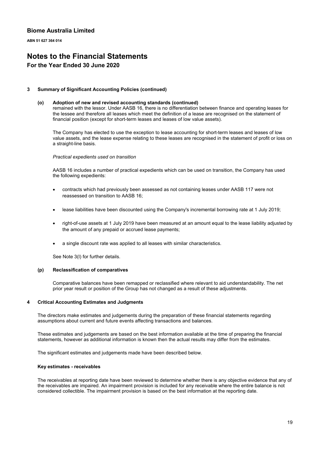**ABN 51 627 364 014**

# **Notes to the Financial Statements**

# **For the Year Ended 30 June 2020**

### **3 Summary of Significant Accounting Policies (continued)**

#### **(o) Adoption of new and revised accounting standards (continued)**

remained with the lessor. Under AASB 16, there is no differentiation between finance and operating leases for the lessee and therefore all leases which meet the definition of a lease are recognised on the statement of financial position (except for short-term leases and leases of low value assets).

The Company has elected to use the exception to lease accounting for short-term leases and leases of low value assets, and the lease expense relating to these leases are recognised in the statement of profit or loss on a straight-line basis.

#### *Practical expedients used on transition*

AASB 16 includes a number of practical expedients which can be used on transition, the Company has used the following expedients:

- contracts which had previously been assessed as not containing leases under AASB 117 were not reassessed on transition to AASB 16;
- lease liabilities have been discounted using the Company's incremental borrowing rate at 1 July 2019;
- right-of-use assets at 1 July 2019 have been measured at an amount equal to the lease liability adjusted by the amount of any prepaid or accrued lease payments;
- a single discount rate was applied to all leases with similar characteristics.

See Note 3(l) for further details.

### **(p) Reclassification of comparatives**

Comparative balances have been remapped or reclassified where relevant to aid understandability. The net prior year result or position of the Group has not changed as a result of these adjustments.

### **4 Critical Accounting Estimates and Judgments**

The directors make estimates and judgements during the preparation of these financial statements regarding assumptions about current and future events affecting transactions and balances.

These estimates and judgements are based on the best information available at the time of preparing the financial statements, however as additional information is known then the actual results may differ from the estimates.

The significant estimates and judgements made have been described below.

#### **Key estimates - receivables**

The receivables at reporting date have been reviewed to determine whether there is any objective evidence that any of the receivables are impaired. An impairment provision is included for any receivable where the entire balance is not considered collectible. The impairment provision is based on the best information at the reporting date.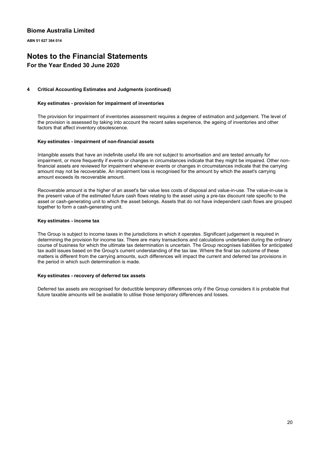**ABN 51 627 364 014**

# **Notes to the Financial Statements**

# **For the Year Ended 30 June 2020**

# **4 Critical Accounting Estimates and Judgments (continued)**

#### **Key estimates - provision for impairment of inventories**

The provision for impairment of inventories assessment requires a degree of estimation and judgement. The level of the provision is assessed by taking into account the recent sales experience, the ageing of inventories and other factors that affect inventory obsolescence.

#### **Key estimates - impairment of non-financial assets**

Intangible assets that have an indefinite useful life are not subject to amortisation and are tested annually for impairment, or more frequently if events or changes in circumstances indicate that they might be impaired. Other nonfinancial assets are reviewed for impairment whenever events or changes in circumstances indicate that the carrying amount may not be recoverable. An impairment loss is recognised for the amount by which the asset's carrying amount exceeds its recoverable amount.

Recoverable amount is the higher of an asset's fair value less costs of disposal and value-in-use. The value-in-use is the present value of the estimated future cash flows relating to the asset using a pre-tax discount rate specific to the asset or cash-generating unit to which the asset belongs. Assets that do not have independent cash flows are grouped together to form a cash-generating unit.

#### **Key estimates - income tax**

The Group is subject to income taxes in the jurisdictions in which it operates. Significant judgement is required in determining the provision for income tax. There are many transactions and calculations undertaken during the ordinary course of business for which the ultimate tax determination is uncertain. The Group recognises liabilities for anticipated tax audit issues based on the Group's current understanding of the tax law. Where the final tax outcome of these matters is different from the carrying amounts, such differences will impact the current and deferred tax provisions in the period in which such determination is made.

#### **Key estimates - recovery of deferred tax assets**

Deferred tax assets are recognised for deductible temporary differences only if the Group considers it is probable that future taxable amounts will be available to utilise those temporary differences and losses.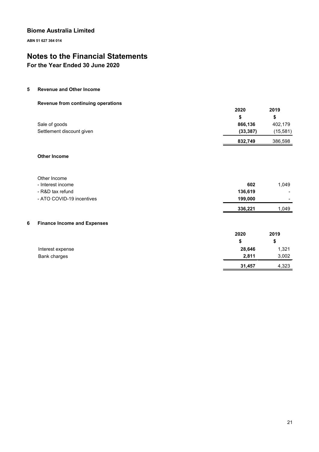**ABN 51 627 364 014**

# **Notes to the Financial Statements**

# **For the Year Ended 30 June 2020**

# **5 Revenue and Other Income**

# **Revenue from continuing operations**

|                           | 2020      | 2019     |
|---------------------------|-----------|----------|
|                           |           | \$       |
| Sale of goods             | 866,136   | 402,179  |
| Settlement discount given | (33, 387) | (15,581) |
|                           | 832,749   | 386,598  |

# **Other Income**

|                           | 336.221 | 1.049                    |
|---------------------------|---------|--------------------------|
| - ATO COVID-19 incentives | 199.000 | -                        |
| - R&D tax refund          | 136.619 | $\overline{\phantom{a}}$ |
| - Interest income         | 602     | 1.049                    |
| Other Income              |         |                          |

# **6 Finance Income and Expenses**

|                  | 2020   | 2019  |
|------------------|--------|-------|
|                  |        | \$    |
| Interest expense | 28,646 | 1,321 |
| Bank charges     | 2,811  | 3,002 |
|                  | 31,457 | 4,323 |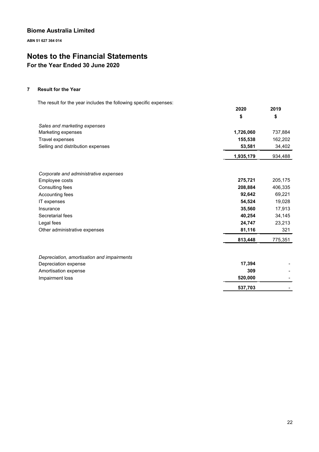**ABN 51 627 364 014**

# **Notes to the Financial Statements**

# **For the Year Ended 30 June 2020**

# **7 Result for the Year**

The result for the year includes the following specific expenses:

|                                                         | 2020      | 2019    |
|---------------------------------------------------------|-----------|---------|
|                                                         | \$        | \$      |
| Sales and marketing expenses                            |           |         |
| Marketing expenses                                      | 1,726,060 | 737,884 |
| Travel expenses                                         | 155,538   | 162,202 |
| Selling and distribution expenses                       | 53,581    | 34,402  |
|                                                         | 1,935,179 | 934,488 |
|                                                         |           |         |
| Corporate and administrative expenses<br>Employee costs | 275,721   | 205,175 |
| Consulting fees                                         | 208,884   | 406,335 |
| Accounting fees                                         | 92,642    | 69,221  |
| IT expenses                                             | 54,524    | 19,028  |
| Insurance                                               | 35,560    | 17,913  |
| Secretarial fees                                        | 40,254    | 34,145  |
| Legal fees                                              | 24,747    | 23,213  |
| Other administrative expenses                           | 81,116    | 321     |
|                                                         | 813,448   | 775,351 |
| Depreciation, amortisation and impairments              |           |         |
| Depreciation expense                                    | 17,394    |         |
| Amortisation expense                                    | 309       |         |
| Impairment loss                                         | 520,000   |         |
|                                                         | 537,703   |         |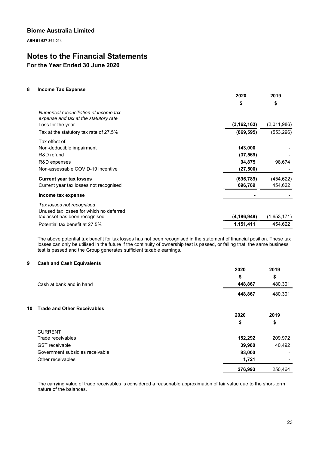**ABN 51 627 364 014**

# **Notes to the Financial Statements**

# **For the Year Ended 30 June 2020**

### **8 Income Tax Expense**

|                                                                                 | 2020          | 2019        |
|---------------------------------------------------------------------------------|---------------|-------------|
|                                                                                 | \$            | \$          |
| Numerical reconciliation of income tax<br>expense and tax at the statutory rate |               |             |
| Loss for the year                                                               | (3, 162, 163) | (2,011,986) |
| Tax at the statutory tax rate of 27.5%                                          | (869, 595)    | (553, 296)  |
| Tax effect of:<br>Non-deductible impairment                                     | 143,000       |             |
|                                                                                 |               |             |
| R&D refund                                                                      | (37, 569)     |             |
| R&D expenses                                                                    | 94,875        | 98,674      |
| Non-assessable COVID-19 incentive                                               | (27, 500)     |             |
| <b>Current year tax losses</b>                                                  | (696, 789)    | (454, 622)  |
| Current year tax losses not recognised                                          | 696,789       | 454,622     |
| Income tax expense                                                              |               |             |
| Tax losses not recognised                                                       |               |             |
| Unused tax losses for which no deferred<br>tax asset has been recognised        | (4, 186, 949) | (1,653,171) |
| Potential tax benefit at 27.5%                                                  | 1,151,411     | 454,622     |
|                                                                                 |               |             |

The above potential tax benefit for tax losses has not been recognised in the statement of financial position. These tax losses can only be utilised in the future if the continuity of ownership test is passed, or failing that, the same business test is passed and the Group generates sufficient taxable earnings.

# **9 Cash and Cash Equivalents**

|    |                                    | 2020    | 2019    |
|----|------------------------------------|---------|---------|
|    |                                    | \$      | \$      |
|    | Cash at bank and in hand           | 448,867 | 480,301 |
|    |                                    | 448,867 | 480,301 |
|    |                                    |         |         |
| 10 | <b>Trade and Other Receivables</b> |         |         |
|    |                                    | 2020    | 2019    |
|    |                                    | \$      | \$      |
|    | <b>CURRENT</b>                     |         |         |
|    | Trade receivables                  | 152,292 | 209,972 |
|    | <b>GST</b> receivable              | 39,980  | 40,492  |
|    | Government subsidies receivable    | 83,000  |         |
|    | Other receivables                  | 1,721   |         |
|    |                                    | 276,993 | 250,464 |

The carrying value of trade receivables is considered a reasonable approximation of fair value due to the short-term nature of the balances.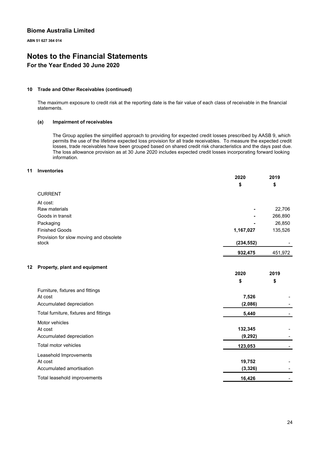**ABN 51 627 364 014**

# **Notes to the Financial Statements**

# **For the Year Ended 30 June 2020**

#### **10 Trade and Other Receivables (continued)**

The maximum exposure to credit risk at the reporting date is the fair value of each class of receivable in the financial statements.

### **(a) Impairment of receivables**

The Group applies the simplified approach to providing for expected credit losses prescribed by AASB 9, which permits the use of the lifetime expected loss provision for all trade receivables. To measure the expected credit losses, trade receivables have been grouped based on shared credit risk characteristics and the days past due. The loss allowance provision as at 30 June 2020 includes expected credit losses incorporating forward looking information.

**2020**

**2019**

# **11 Inventories**

|                                        | ZUZU       | ∠បាទ    |
|----------------------------------------|------------|---------|
|                                        | \$         | \$      |
| <b>CURRENT</b>                         |            |         |
| At cost:                               |            |         |
| Raw materials                          |            | 22,706  |
| Goods in transit                       |            | 266,890 |
| Packaging                              |            | 26,850  |
| <b>Finished Goods</b>                  | 1,167,027  | 135,526 |
| Provision for slow moving and obsolete |            |         |
| stock                                  | (234, 552) |         |
|                                        | 932,475    | 451,972 |
|                                        |            |         |
| Property, plant and equipment<br>12    | 2020       | 2019    |
|                                        |            |         |
|                                        | \$         | \$      |
| Furniture, fixtures and fittings       |            |         |
| At cost                                | 7,526      |         |
| Accumulated depreciation               | (2,086)    |         |
| Total furniture, fixtures and fittings | 5,440      |         |
| Motor vehicles                         |            |         |
| At cost                                | 132,345    |         |
| Accumulated depreciation               | (9, 292)   |         |
| Total motor vehicles                   | 123,053    |         |
| Leasehold Improvements                 |            |         |
| At cost                                | 19,752     |         |
| Accumulated amortisation               | (3, 326)   |         |
| Total leasehold improvements           | 16,426     |         |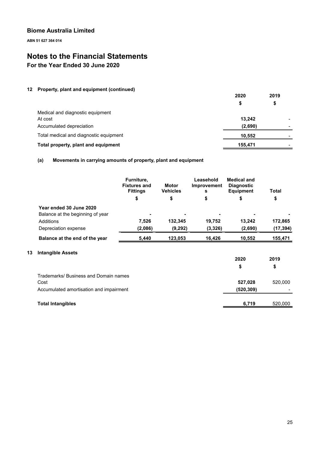**ABN 51 627 364 014**

**13 Intangible Assets**

# **Notes to the Financial Statements**

# **For the Year Ended 30 June 2020**

# **12 Property, plant and equipment (continued)**

|                                        | 2020<br>\$ | 2019<br>\$ |
|----------------------------------------|------------|------------|
| Medical and diagnostic equipment       |            |            |
| At cost                                | 13,242     |            |
| Accumulated depreciation               | (2,690)    |            |
| Total medical and diagnostic equipment | 10.552     |            |
| Total property, plant and equipment    | 155,471    |            |

# **(a) Movements in carrying amounts of property, plant and equipment**

|                                       | Furniture,<br><b>Fixtures and</b><br><b>Fittings</b> | Motor<br><b>Vehicles</b> | Leasehold<br><b>Improvement</b><br>s | <b>Medical and</b><br><b>Diagnostic</b><br><b>Equipment</b> | Total     |
|---------------------------------------|------------------------------------------------------|--------------------------|--------------------------------------|-------------------------------------------------------------|-----------|
|                                       | \$                                                   | \$                       | \$                                   | \$                                                          | \$        |
| Year ended 30 June 2020               |                                                      |                          |                                      |                                                             |           |
| Balance at the beginning of year      |                                                      |                          |                                      |                                                             |           |
| Additions                             | 7,526                                                | 132,345                  | 19,752                               | 13,242                                                      | 172,865   |
| Depreciation expense                  | (2,086)                                              | (9, 292)                 | (3, 326)                             | (2,690)                                                     | (17, 394) |
| Balance at the end of the year        | 5,440                                                | 123,053                  | 16,426                               | 10,552                                                      | 155,471   |
| <b>Intangible Assets</b>              |                                                      |                          |                                      |                                                             |           |
|                                       |                                                      |                          |                                      | 2020                                                        | 2019      |
|                                       |                                                      |                          |                                      | \$                                                          | \$        |
| Trademarks/ Business and Domain names |                                                      |                          |                                      |                                                             |           |
| Cost                                  |                                                      |                          |                                      | 527,028                                                     | 520,000   |

| Accumulated amortisation and impairment | (520.309) | -       |
|-----------------------------------------|-----------|---------|
| <b>Total Intangibles</b>                | 6.719     | 520,000 |
|                                         |           |         |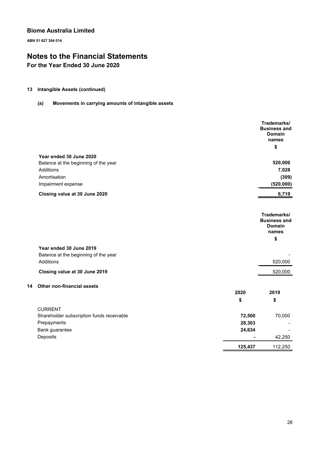**ABN 51 627 364 014**

# **Notes to the Financial Statements**

**For the Year Ended 30 June 2020**

# **13 Intangible Assets (continued)**

**(a) Movements in carrying amounts of intangible assets**

|    |                                                                                                                    |            | Trademarks/<br><b>Business and</b><br><b>Domain</b><br>names<br>\$ |
|----|--------------------------------------------------------------------------------------------------------------------|------------|--------------------------------------------------------------------|
|    | Year ended 30 June 2020<br>Balance at the beginning of the year<br>Additions<br>Amortisation<br>Impairment expense |            | 520,000<br>7,028<br>(309)<br>(520,000)                             |
|    | Closing value at 30 June 2020                                                                                      |            | 6,719                                                              |
|    |                                                                                                                    |            | Trademarks/<br><b>Business and</b><br><b>Domain</b><br>names<br>\$ |
|    | Year ended 30 June 2019<br>Balance at the beginning of the year                                                    |            |                                                                    |
|    | Additions<br>Closing value at 30 June 2019                                                                         |            | 520,000<br>520,000                                                 |
| 14 | Other non-financial assets                                                                                         | 2020<br>\$ | 2019<br>\$                                                         |
|    | <b>CURRENT</b>                                                                                                     |            |                                                                    |
|    | Shareholder subscription funds receivable                                                                          | 72,500     | 70,000                                                             |
|    | Prepayments                                                                                                        | 28,303     |                                                                    |
|    | Bank guarantee<br>Deposits                                                                                         | 24,634     | 42,250                                                             |
|    |                                                                                                                    | 125,437    | 112,250                                                            |
|    |                                                                                                                    |            |                                                                    |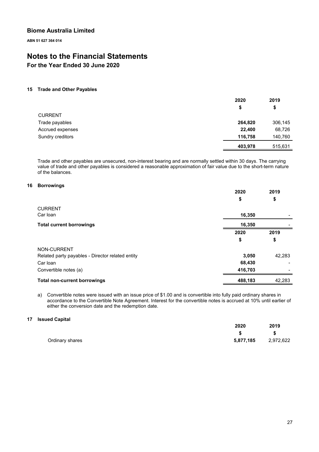**ABN 51 627 364 014**

# **Notes to the Financial Statements**

**For the Year Ended 30 June 2020**

# **15 Trade and Other Payables**

|                  | 2020    | 2019    |
|------------------|---------|---------|
|                  | \$      | \$      |
| <b>CURRENT</b>   |         |         |
| Trade payables   | 264,820 | 306,145 |
| Accrued expenses | 22,400  | 68,726  |
| Sundry creditors | 116,758 | 140,760 |
|                  | 403,978 | 515,631 |

Trade and other payables are unsecured, non-interest bearing and are normally settled within 30 days. The carrying value of trade and other payables is considered a reasonable approximation of fair value due to the short-term nature of the balances.

### **16 Borrowings**

|                                                  | 2020    | 2019   |
|--------------------------------------------------|---------|--------|
|                                                  | \$      | \$     |
| <b>CURRENT</b>                                   |         |        |
| Car Ioan                                         | 16,350  |        |
| <b>Total current borrowings</b>                  | 16,350  |        |
|                                                  | 2020    | 2019   |
|                                                  | \$      | \$     |
| NON-CURRENT                                      |         |        |
| Related party payables - Director related entity | 3,050   | 42,283 |
| Car Ioan                                         | 68,430  |        |
| Convertible notes (a)                            | 416,703 |        |
| <b>Total non-current borrowings</b>              | 488,183 | 42,283 |

a) Convertible notes were issued with an issue price of \$1.00 and is convertible into fully paid ordinary shares in accordance to the Convertible Note Agreement. Interest for the convertible notes is accrued at 10% until earlier of either the conversion date and the redemption date.

# **17 Issued Capital**

|                 | 2020      | 2019      |
|-----------------|-----------|-----------|
|                 |           | - \$      |
| Ordinary shares | 5,877,185 | 2,972,622 |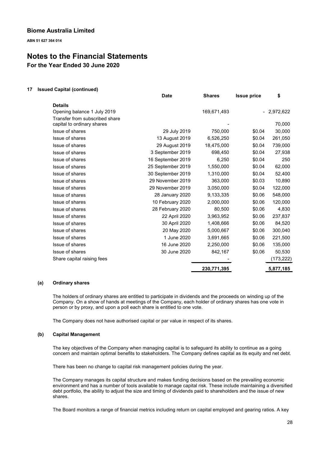**ABN 51 627 364 014**

# **Notes to the Financial Statements**

**For the Year Ended 30 June 2020**

# **17 Issued Capital (continued)**

|                                | <b>Date</b>       | <b>Shares</b> | <b>Issue price</b> | \$           |
|--------------------------------|-------------------|---------------|--------------------|--------------|
| <b>Details</b>                 |                   |               |                    |              |
| Opening balance 1 July 2019    |                   | 169,671,493   |                    | $-2.972.622$ |
| Transfer from subscribed share |                   |               |                    |              |
| capital to ordinary shares     |                   |               |                    | 70,000       |
| Issue of shares                | 29 July 2019      | 750,000       | \$0.04             | 30,000       |
| Issue of shares                | 13 August 2019    | 6,526,250     | \$0.04             | 261,050      |
| Issue of shares                | 29 August 2019    | 18,475,000    | \$0.04             | 739,000      |
| <b>Issue of shares</b>         | 3 September 2019  | 698,450       | \$0.04             | 27,938       |
| Issue of shares                | 16 September 2019 | 6,250         | \$0.04             | 250          |
| Issue of shares                | 25 September 2019 | 1,550,000     | \$0.04             | 62,000       |
| <b>Issue of shares</b>         | 30 September 2019 | 1,310,000     | \$0.04             | 52,400       |
| <b>Issue of shares</b>         | 29 November 2019  | 363,000       | \$0.03             | 10,890       |
| <b>Issue of shares</b>         | 29 November 2019  | 3,050,000     | \$0.04             | 122,000      |
| Issue of shares                | 28 January 2020   | 9,133,335     | \$0.06             | 548,000      |
| <b>Issue of shares</b>         | 10 February 2020  | 2,000,000     | \$0.06             | 120,000      |
| <b>Issue of shares</b>         | 28 February 2020  | 80,500        | \$0.06             | 4,830        |
| <b>Issue of shares</b>         | 22 April 2020     | 3,963,952     | \$0.06             | 237,837      |
| Issue of shares                | 30 April 2020     | 1,408,666     | \$0.06             | 84,520       |
| Issue of shares                | 20 May 2020       | 5,000,667     | \$0.06             | 300,040      |
| Issue of shares                | 1 June 2020       | 3,691,665     | \$0.06             | 221,500      |
| <b>Issue of shares</b>         | 16 June 2020      | 2,250,000     | \$0.06             | 135,000      |
| <b>Issue of shares</b>         | 30 June 2020      | 842,167       | \$0.06             | 50,530       |
| Share capital raising fees     |                   |               |                    | (173, 222)   |
|                                |                   | 230,771,395   |                    | 5,877,185    |

#### **(a) Ordinary shares**

The holders of ordinary shares are entitled to participate in dividends and the proceeds on winding up of the Company. On a show of hands at meetings of the Company, each holder of ordinary shares has one vote in person or by proxy, and upon a poll each share is entitled to one vote.

The Company does not have authorised capital or par value in respect of its shares.

### **(b) Capital Management**

The key objectives of the Company when managing capital is to safeguard its ability to continue as a going concern and maintain optimal benefits to stakeholders. The Company defines capital as its equity and net debt.

There has been no change to capital risk management policies during the year.

The Company manages its capital structure and makes funding decisions based on the prevailing economic environment and has a number of tools available to manage capital risk. These include maintaining a diversified debt portfolio, the ability to adjust the size and timing of dividends paid to shareholders and the issue of new shares.

The Board monitors a range of financial metrics including return on capital employed and gearing ratios. A key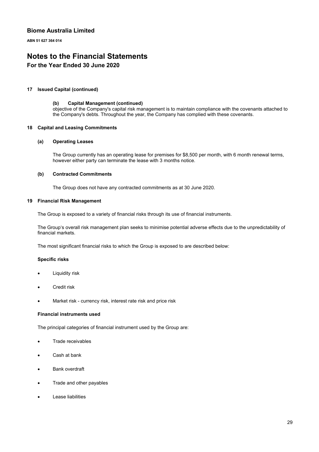**ABN 51 627 364 014**

# **Notes to the Financial Statements**

# **For the Year Ended 30 June 2020**

### **17 Issued Capital (continued)**

#### **(b) Capital Management (continued)**

objective of the Company's capital risk management is to maintain compliance with the covenants attached to the Company's debts. Throughout the year, the Company has complied with these covenants.

#### **18 Capital and Leasing Commitments**

#### **(a) Operating Leases**

The Group currently has an operating lease for premises for \$8,500 per month, with 6 month renewal terms, however either party can terminate the lease with 3 months notice.

# **(b) Contracted Commitments**

The Group does not have any contracted commitments as at 30 June 2020.

#### **19 Financial Risk Management**

The Group is exposed to a variety of financial risks through its use of financial instruments.

The Group's overall risk management plan seeks to minimise potential adverse effects due to the unpredictability of financial markets.

The most significant financial risks to which the Group is exposed to are described below:

#### **Specific risks**

- Liquidity risk
- Credit risk
- Market risk currency risk, interest rate risk and price risk

# **Financial instruments used**

The principal categories of financial instrument used by the Group are:

- Trade receivables
- Cash at bank
- Bank overdraft
- Trade and other payables
- Lease liabilities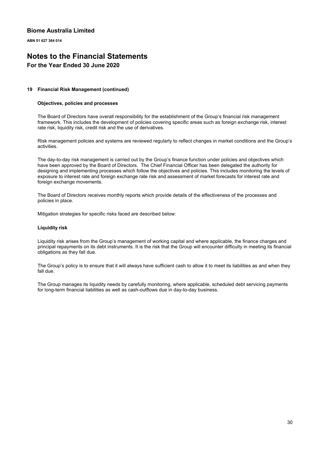**ABN 51 627 364 014**

# **Notes to the Financial Statements**

# **For the Year Ended 30 June 2020**

#### **19 Financial Risk Management (continued)**

#### **Objectives, policies and processes**

The Board of Directors have overall responsibility for the establishment of the Group's financial risk management framework. This includes the development of policies covering specific areas such as foreign exchange risk, interest rate risk, liquidity risk, credit risk and the use of derivatives.

Risk management policies and systems are reviewed regularly to reflect changes in market conditions and the Group's activities.

The day-to-day risk management is carried out by the Group's finance function under policies and objectives which have been approved by the Board of Directors. The Chief Financial Officer has been delegated the authority for designing and implementing processes which follow the objectives and policies. This includes monitoring the levels of exposure to interest rate and foreign exchange rate risk and assessment of market forecasts for interest rate and foreign exchange movements.

The Board of Directors receives monthly reports which provide details of the effectiveness of the processes and policies in place.

Mitigation strategies for specific risks faced are described below:

# **Liquidity risk**

Liquidity risk arises from the Group's management of working capital and where applicable, the finance charges and principal repayments on its debt instruments. It is the risk that the Group will encounter difficulty in meeting its financial obligations as they fall due.

The Group's policy is to ensure that it will always have sufficient cash to allow it to meet its liabilities as and when they fall due.

The Group manages its liquidity needs by carefully monitoring, where applicable, scheduled debt servicing payments for long-term financial liabilities as well as cash-outflows due in day-to-day business.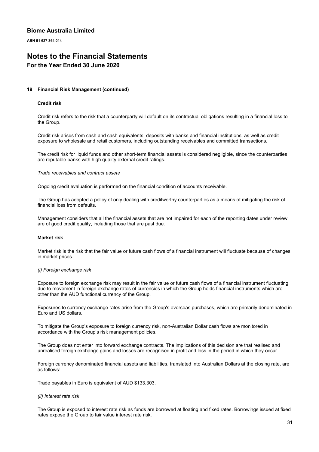**ABN 51 627 364 014**

# **Notes to the Financial Statements**

# **For the Year Ended 30 June 2020**

### **19 Financial Risk Management (continued)**

### **Credit risk**

Credit risk refers to the risk that a counterparty will default on its contractual obligations resulting in a financial loss to the Group.

Credit risk arises from cash and cash equivalents, deposits with banks and financial institutions, as well as credit exposure to wholesale and retail customers, including outstanding receivables and committed transactions.

The credit risk for liquid funds and other short-term financial assets is considered negligible, since the counterparties are reputable banks with high quality external credit ratings.

#### *Trade receivables and contract assets*

Ongoing credit evaluation is performed on the financial condition of accounts receivable.

The Group has adopted a policy of only dealing with creditworthy counterparties as a means of mitigating the risk of financial loss from defaults.

Management considers that all the financial assets that are not impaired for each of the reporting dates under review are of good credit quality, including those that are past due.

#### **Market risk**

Market risk is the risk that the fair value or future cash flows of a financial instrument will fluctuate because of changes in market prices.

#### *(i) Foreign exchange risk*

Exposure to foreign exchange risk may result in the fair value or future cash flows of a financial instrument fluctuating due to movement in foreign exchange rates of currencies in which the Group holds financial instruments which are other than the AUD functional currency of the Group.

Exposures to currency exchange rates arise from the Group's overseas purchases, which are primarily denominated in Euro and US dollars.

To mitigate the Group's exposure to foreign currency risk, non-Australian Dollar cash flows are monitored in accordance with the Group's risk management policies.

The Group does not enter into forward exchange contracts. The implications of this decision are that realised and unrealised foreign exchange gains and losses are recognised in profit and loss in the period in which they occur.

Foreign currency denominated financial assets and liabilities, translated into Australian Dollars at the closing rate, are as follows:

Trade payables in Euro is equivalent of AUD \$133,303.

#### *(ii) Interest rate risk*

The Group is exposed to interest rate risk as funds are borrowed at floating and fixed rates. Borrowings issued at fixed rates expose the Group to fair value interest rate risk.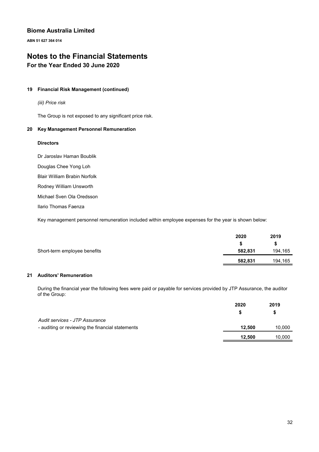**ABN 51 627 364 014**

# **Notes to the Financial Statements**

# **For the Year Ended 30 June 2020**

# **19 Financial Risk Management (continued)**

*(iii) Price risk*

The Group is not exposed to any significant price risk.

### **20 Key Management Personnel Remuneration**

#### **Directors**

Dr Jaroslav Haman Boublik

Douglas Chee Yong Loh

Blair William Brabin Norfolk

Rodney William Unsworth

Michael Sven Ola Oredsson

Ilario Thomas Faenza

Key management personnel remuneration included within employee expenses for the year is shown below:

|                              | 2020    | 2019    |
|------------------------------|---------|---------|
|                              |         | \$      |
| Short-term employee benefits | 582,831 | 194,165 |
|                              | 582,831 | 194,165 |
|                              |         |         |

# **21 Auditors' Remuneration**

During the financial year the following fees were paid or payable for services provided by JTP Assurance, the auditor of the Group:

|                                                  | 2020   | 2019   |
|--------------------------------------------------|--------|--------|
|                                                  |        | S      |
| Audit services - JTP Assurance                   |        |        |
| - auditing or reviewing the financial statements | 12.500 | 10,000 |
|                                                  | 12.500 | 10,000 |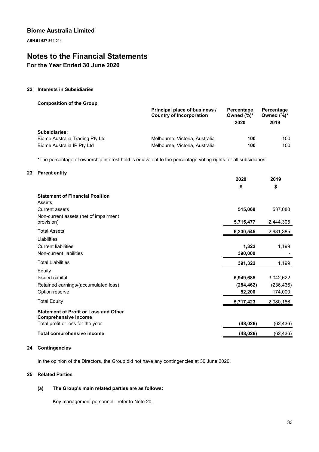**ABN 51 627 364 014**

# **Notes to the Financial Statements**

**For the Year Ended 30 June 2020**

# **22 Interests in Subsidiaries**

| <b>Composition of the Group</b> |                                                           |                                      |                                      |  |
|---------------------------------|-----------------------------------------------------------|--------------------------------------|--------------------------------------|--|
|                                 | Principal place of business /<br>Country of Incorporation | Percentage<br>Owned $(\%)^*$<br>2020 | Percentage<br>Owned $(\%)^*$<br>2019 |  |
| Subsidiaries:                   |                                                           |                                      |                                      |  |
| Biome Australia Trading Pty Ltd | Melbourne, Victoria, Australia                            | 100                                  | 100                                  |  |
| Biome Australia IP Pty Ltd      | Melbourne, Victoria, Australia                            | 100                                  | 100                                  |  |

\*The percentage of ownership interest held is equivalent to the percentage voting rights for all subsidiaries.

# **23 Parent entity**

|                                                                             | 2020       | 2019       |
|-----------------------------------------------------------------------------|------------|------------|
|                                                                             | \$         | \$         |
| <b>Statement of Financial Position</b>                                      |            |            |
| Assets                                                                      |            |            |
| <b>Current assets</b>                                                       | 515,068    | 537,080    |
| Non-current assets (net of impairment<br>provision)                         | 5,715,477  | 2,444,305  |
| <b>Total Assets</b>                                                         | 6,230,545  | 2,981,385  |
| Liabilities                                                                 |            |            |
| <b>Current liabilities</b>                                                  | 1,322      | 1,199      |
| Non-current liabilities                                                     | 390,000    |            |
| <b>Total Liabilities</b>                                                    | 391,322    | 1,199      |
| Equity                                                                      |            |            |
| Issued capital                                                              | 5,949,685  | 3,042,622  |
| Retained earnings/(accumulated loss)                                        | (284, 462) | (236, 436) |
| Option reserve                                                              | 52,200     | 174,000    |
| <b>Total Equity</b>                                                         | 5,717,423  | 2,980,186  |
| <b>Statement of Profit or Loss and Other</b><br><b>Comprehensive Income</b> |            |            |
| Total profit or loss for the year                                           | (48, 026)  | (62, 436)  |
| Total comprehensive income                                                  | (48, 026)  | (62, 436)  |

### **24 Contingencies**

In the opinion of the Directors, the Group did not have any contingencies at 30 June 2020.

# **25 Related Parties**

### **(a) The Group's main related parties are as follows:**

Key management personnel - refer to Note 20.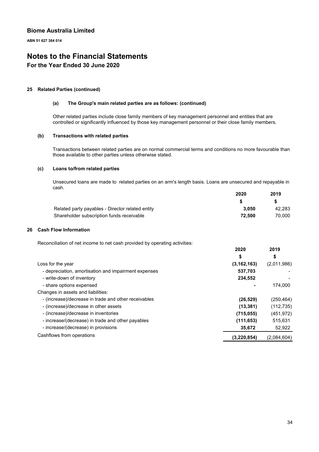**ABN 51 627 364 014**

# **Notes to the Financial Statements**

# **For the Year Ended 30 June 2020**

### **25 Related Parties (continued)**

#### **(a) The Group's main related parties are as follows: (continued)**

Other related parties include close family members of key management personnel and entities that are controlled or significantly influenced by those key management personnel or their close family members.

### **(b) Transactions with related parties**

Transactions between related parties are on normal commercial terms and conditions no more favourable than those available to other parties unless otherwise stated.

#### **(c) Loans to/from related parties**

Unsecured loans are made to related parties on an arm's length basis. Loans are unsecured and repayable in cash. **2020 2019**

| 2020   | 2019   |  |
|--------|--------|--|
|        |        |  |
| 3.050  | 42.283 |  |
| 72.500 | 70.000 |  |
|        |        |  |

# **26 Cash Flow Information**

Reconciliation of net income to net cash provided by operating activities:

|                                                      | 2020          | 2019        |
|------------------------------------------------------|---------------|-------------|
|                                                      | \$            | \$          |
| Loss for the year                                    | (3, 162, 163) | (2,011,986) |
| - depreciation, amortisation and impairment expenses | 537,703       |             |
| - write-down of inventory                            | 234,552       |             |
| - share options expensed                             |               | 174,000     |
| Changes in assets and liabilities:                   |               |             |
| - (increase)/decrease in trade and other receivables | (26, 529)     | (250, 464)  |
| - (increase)/decrease in other assets                | (13, 381)     | (112, 735)  |
| - (increase)/decrease in inventories                 | (715, 055)    | (451, 972)  |
| - increase/(decrease) in trade and other payables    | (111, 653)    | 515,631     |
| - increase/(decrease) in provisions                  | 35,672        | 52,922      |
| Cashflows from operations                            | (3,220,854)   | (2,084,604) |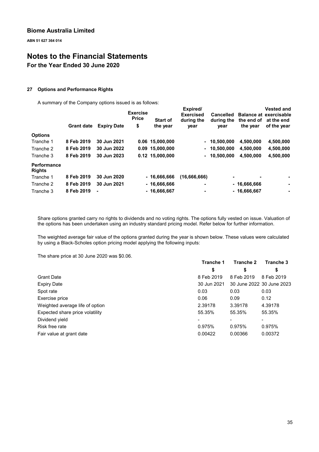**ABN 51 627 364 014**

# **Notes to the Financial Statements**

# **For the Year Ended 30 June 2020**

#### **27 Options and Performance Rights**

A summary of the Company options issued is as follows:

|                                     | <b>Grant date</b> | <b>Expiry Date</b> | <b>Exercise</b><br><b>Price</b><br>\$ | <b>Start of</b><br>the year | Expired/<br><b>Exercised</b><br>during the<br>year | <b>Cancelled</b><br>during the<br>year | the end of<br>the year | <b>Vested and</b><br><b>Balance at exercisable</b><br>at the end<br>of the year |
|-------------------------------------|-------------------|--------------------|---------------------------------------|-----------------------------|----------------------------------------------------|----------------------------------------|------------------------|---------------------------------------------------------------------------------|
| <b>Options</b>                      |                   |                    |                                       |                             |                                                    |                                        |                        |                                                                                 |
| Tranche 1                           | 8 Feb 2019        | 30 Jun 2021        |                                       | 0.06 15,000,000             |                                                    | $-10,500,000$                          | 4,500,000              | 4,500,000                                                                       |
| Tranche 2                           | 8 Feb 2019        | 30 Jun 2022        |                                       | 0.09 15,000,000             |                                                    | $-10,500,000$                          | 4,500,000              | 4,500,000                                                                       |
| Tranche 3                           | 8 Feb 2019        | 30 Jun 2023        |                                       | 0.12 15.000.000             |                                                    | $-10,500,000$                          | 4.500.000              | 4,500,000                                                                       |
| <b>Performance</b><br><b>Rights</b> |                   |                    |                                       |                             |                                                    |                                        |                        |                                                                                 |
| Tranche 1                           | 8 Feb 2019        | 30 Jun 2020        |                                       | $-16,666,666$               | (16,666,666)                                       |                                        |                        |                                                                                 |
| Tranche 2                           | 8 Feb 2019        | 30 Jun 2021        |                                       | $-16,666,666$               |                                                    |                                        | $-16,666,666$          |                                                                                 |
| Tranche 3                           | 8 Feb 2019        | ٠                  |                                       | $-16,666,667$               | ٠                                                  |                                        | $-16,666,667$          | ۰                                                                               |
|                                     |                   |                    |                                       |                             |                                                    |                                        |                        |                                                                                 |

Share options granted carry no rights to dividends and no voting rights. The options fully vested on issue. Valuation of the options has been undertaken using an industry standard pricing model. Refer below for further information.

The weighted average fair value of the options granted during the year is shown below. These values were calculated by using a Black-Scholes option pricing model applying the following inputs:

The share price at 30 June 2020 was \$0.06.

|                                 | Tranche 1   | Tranche 2  | Tranche 3                 |  |
|---------------------------------|-------------|------------|---------------------------|--|
|                                 | \$          | \$         | \$                        |  |
| <b>Grant Date</b>               | 8 Feb 2019  | 8 Feb 2019 | 8 Feb 2019                |  |
| <b>Expiry Date</b>              | 30 Jun 2021 |            | 30 June 2022 30 June 2023 |  |
| Spot rate                       | 0.03        | 0.03       | 0.03                      |  |
| Exercise price                  | 0.06        | 0.09       | 0.12                      |  |
| Weighted average life of option | 2.39178     | 3.39178    | 4.39178                   |  |
| Expected share price volatility | 55.35%      | 55.35%     | 55.35%                    |  |
| Dividend yield                  |             |            |                           |  |
| Risk free rate                  | 0.975%      | 0.975%     | 0.975%                    |  |
| Fair value at grant date        | 0.00422     | 0.00366    | 0.00372                   |  |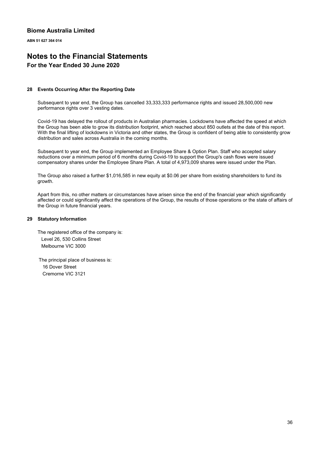**ABN 51 627 364 014**

# **Notes to the Financial Statements**

# **For the Year Ended 30 June 2020**

### **28 Events Occurring After the Reporting Date**

Subsequent to year end, the Group has cancelled 33,333,333 performance rights and issued 28,500,000 new performance rights over 3 vesting dates.

Covid-19 has delayed the rollout of products in Australian pharmacies. Lockdowns have affected the speed at which the Group has been able to grow its distribution footprint, which reached about 850 outlets at the date of this report. With the final lifting of lockdowns in Victoria and other states, the Group is confident of being able to consistently grow distribution and sales across Australia in the coming months.

Subsequent to year end, the Group implemented an Employee Share & Option Plan. Staff who accepted salary reductions over a minimum period of 6 months during Covid-19 to support the Group's cash flows were issued compensatory shares under the Employee Share Plan. A total of 4,973,009 shares were issued under the Plan.

The Group also raised a further \$1,016,585 in new equity at \$0.06 per share from existing shareholders to fund its growth.

Apart from this, no other matters or circumstances have arisen since the end of the financial year which significantly affected or could significantly affect the operations of the Group, the results of those operations or the state of affairs of the Group in future financial years.

### **29 Statutory Information**

The registered office of the company is: Level 26, 530 Collins Street Melbourne VIC 3000

The principal place of business is: 16 Dover Street Cremorne VIC 3121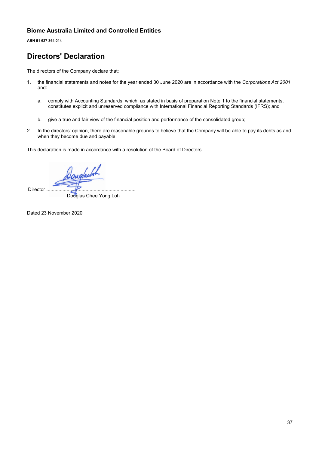**ABN 51 627 364 014**

# **Directors' Declaration**

The directors of the Company declare that:

- 1. the financial statements and notes for the year ended 30 June 2020 are in accordance with the *Corporations Act 2001* and:
	- a. comply with Accounting Standards, which, as stated in basis of preparation Note 1 to the financial statements, constitutes explicit and unreserved compliance with International Financial Reporting Standards (IFRS); and
	- b. give a true and fair view of the financial position and performance of the consolidated group;
- 2. In the directors' opinion, there are reasonable grounds to believe that the Company will be able to pay its debts as and when they become due and payable.

This declaration is made in accordance with a resolution of the Board of Directors.

ouglash Director ..................................................................

Douglas Chee Yong Loh

Dated 23 November 2020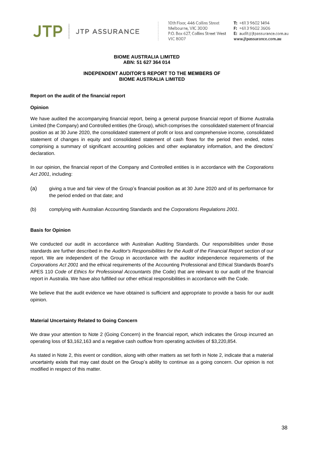

10th Floor, 446 Collins Street Melbourne, VIC 3000 P.O. Box 627, Collins Street West **VIC 8007** 

 $T: +61396021494$  $F: +61396023606$ E: audit@jtpassurance.com.au www.jtpassurance.com.au

#### **BIOME AUSTRALIA LIMITED ABN: 51 627 364 014**

### **INDEPENDENT AUDITOR'S REPORT TO THE MEMBERS OF BIOME AUSTRALIA LIMITED**

#### **Report on the audit of the financial report**

#### **Opinion**

We have audited the accompanying financial report, being a general purpose financial report of Biome Australia Limited (the Company) and Controlled entities (the Group), which comprises the consolidated statement of financial position as at 30 June 2020, the consolidated statement of profit or loss and comprehensive income, consolidated statement of changes in equity and consolidated statement of cash flows for the period then ended, notes comprising a summary of significant accounting policies and other explanatory information, and the directors' declaration.

In our opinion, the financial report of the Company and Controlled entities is in accordance with the *Corporations Act 2001*, including:

- (a) giving a true and fair view of the Group's financial position as at 30 June 2020 and of its performance for the period ended on that date; and
- (b) complying with Australian Accounting Standards and the *Corporations Regulations 2001*.

#### **Basis for Opinion**

We conducted our audit in accordance with Australian Auditing Standards. Our responsibilities under those standards are further described in the *Auditor's Responsibilities for the Audit of the Financial Report* section of our report. We are independent of the Group in accordance with the auditor independence requirements of the *Corporations Act 2001* and the ethical requirements of the Accounting Professional and Ethical Standards Board's APES 110 *Code of Ethics for Professional Accountants* (the Code) that are relevant to our audit of the financial report in Australia. We have also fulfilled our other ethical responsibilities in accordance with the Code.

We believe that the audit evidence we have obtained is sufficient and appropriate to provide a basis for our audit opinion.

#### **Material Uncertainty Related to Going Concern**

We draw your attention to Note 2 (Going Concern) in the financial report, which indicates the Group incurred an operating loss of \$3,162,163 and a negative cash outflow from operating activities of \$3,220,854.

As stated in Note 2, this event or condition, along with other matters as set forth in Note 2, indicate that a material uncertainty exists that may cast doubt on the Group's ability to continue as a going concern. Our opinion is not modified in respect of this matter.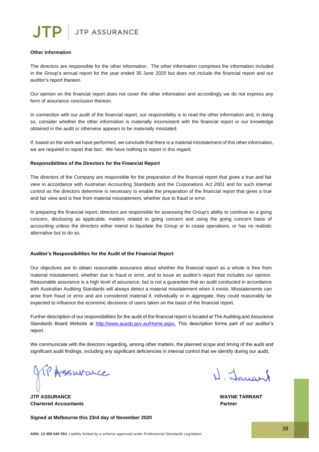$JTP$  JTP ASSURANCE

#### **Other Information**

The directors are responsible for the other information. The other information comprises the information included in the Group's annual report for the year ended 30 June 2020 but does not include the financial report and our auditor's report thereon.

Our opinion on the financial report does not cover the other information and accordingly we do not express any form of assurance conclusion thereon.

In connection with our audit of the financial report, our responsibility is to read the other information and, in doing so, consider whether the other information is materially inconsistent with the financial report or our knowledge obtained in the audit or otherwise appears to be materially misstated.

If, based on the work we have performed, we conclude that there is a material misstatement of this other information, we are required to report that fact. We have nothing to report in this regard.

#### **Responsibilities of the Directors for the Financial Report**

The directors of the Company are responsible for the preparation of the financial report that gives a true and fair view in accordance with Australian Accounting Standards and the *Corporations Act 2001* and for such internal control as the directors determine is necessary to enable the preparation of the financial report that gives a true and fair view and is free from material misstatement, whether due to fraud or error.

In preparing the financial report, directors are responsible for assessing the Group's ability to continue as a going concern, disclosing as applicable, matters related to going concern and using the going concern basis of accounting unless the directors either intend to liquidate the Group or to cease operations, or has no realistic alternative but to do so.

#### **Auditor's Responsibilities for the Audit of the Financial Report**

Our objectives are to obtain reasonable assurance about whether the financial report as a whole is free from material misstatement, whether due to fraud or error, and to issue an auditor's report that includes our opinion. Reasonable assurance is a high level of assurance, but is not a guarantee that an audit conducted in accordance with Australian Auditing Standards will always detect a material misstatement when it exists. Misstatements can arise from fraud or error and are considered material if, individually or in aggregate, they could reasonably be expected to influence the economic decisions of users taken on the basis of the financial report.

Further description of our responsibilities for the audit of the financial report is located at The Auditing and Assurance Standards Board Website at [http://www.auasb.gov.au/Home.aspx.](http://www.auasb.gov.au/Home.aspx) This description forms part of our auditor's report.

We communicate with the directors regarding, among other matters, the planned scope and timing of the audit and significant audit findings, including any significant deficiencies in internal control that we identify during our audit.

PASSWarce

**JTP ASSURANCE WAYNE TARRANT Chartered Accountants Partner**

**Signed at Melbourne this 23rd day of November 2020**

 $H.$  Jaugnt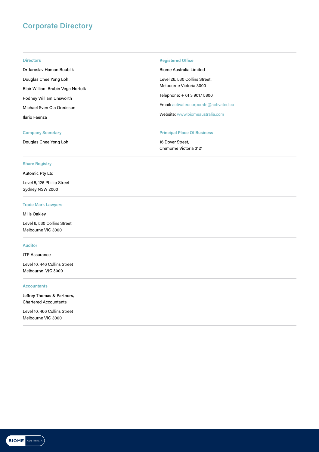# Corporate Directory

#### Directors

Dr Jaroslav Haman Boublik

Douglas Chee Yong Loh

Blair William Brabin Vega Norfolk

Rodney William Unsworth

Michael Sven Ola Oredsson

Ilario Faenza

#### Company Secretary

Douglas Chee Yong Loh

#### **Registered Office**

#### Biome Australia Limited

Level 26, 530 Collins Street, Melbourne Victoria 3000

Telephone: + 61 3 9017 5800

Email: activatedcorporate@activated.co

Website: www.biomeaustralia.com

#### Principal Place Of Business

16 Dover Street, Cremorne Victoria 3121

#### Share Registry

#### Automic Pty Ltd

Level 5, 126 Phillip Street Sydney NSW 2000

#### Trade Mark Lawyers

Mills Oakley

Level 6, 530 Collins Street Melbourne VIC 3000

#### Auditor

JTP Assurance

Level 10, 446 Collins Street Melbourne VIC 3000

#### **Accountants**

Jeffrey Thomas & Partners, Chartered Accountants

Level 10, 466 Collins Street Melbourne VIC 3000